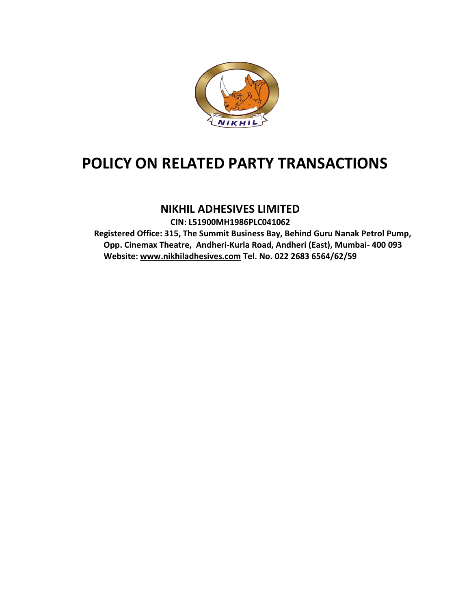

# POLICY ON RELATED PARTY TRANSACTIONS

# NIKHIL ADHESIVES LIMITED

CIN: L51900MH1 L51900MH1986PLC041062 Registered Office: 315, The Summit Business Bay, Behind Guru Nanak Petrol Pump, Pump, Opp. Cinemax Theatre, Andheri-Kurla Road, Andheri (East), Mumbai- 400 093 Website: www.nikhiladhesives.com Tel. No. 022 2683 6564/62/59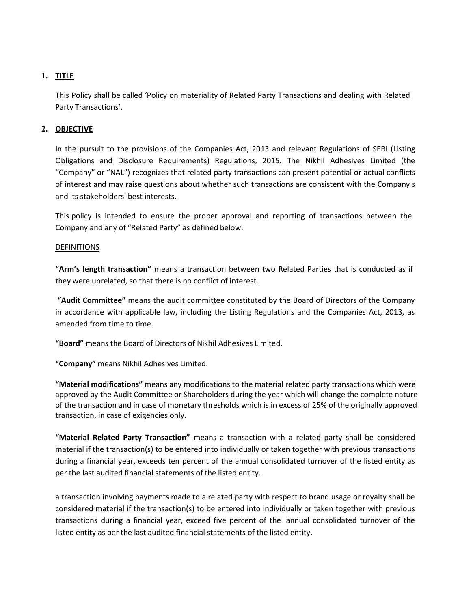## 1. TITLE

This Policy shall be called 'Policy on materiality of Related Party Transactions and dealing with Related Party Transactions'.

### 2. OBJECTIVE

In the pursuit to the provisions of the Companies Act, 2013 and relevant Regulations of SEBI (Listing Obligations and Disclosure Requirements) Regulations, 2015. The Nikhil Adhesives Limited (the "Company" or "NAL") recognizes that related party transactions can present potential or actual conflicts of interest and may raise questions about whether such transactions are consistent with the Company's and its stakeholders' best interests.

This policy is intended to ensure the proper approval and reporting of transactions between the Company and any of "Related Party" as defined below.

#### **DEFINITIONS**

"Arm's length transaction" means a transaction between two Related Parties that is conducted as if they were unrelated, so that there is no conflict of interest.

"Audit Committee" means the audit committee constituted by the Board of Directors of the Company in accordance with applicable law, including the Listing Regulations and the Companies Act, 2013, as amended from time to time.

"Board" means the Board of Directors of Nikhil Adhesives Limited.

"Company" means Nikhil Adhesives Limited.

"Material modifications" means any modifications to the material related party transactions which were approved by the Audit Committee or Shareholders during the year which will change the complete nature of the transaction and in case of monetary thresholds which is in excess of 25% of the originally approved transaction, in case of exigencies only.

"Material Related Party Transaction" means a transaction with a related party shall be considered material if the transaction(s) to be entered into individually or taken together with previous transactions during a financial year, exceeds ten percent of the annual consolidated turnover of the listed entity as per the last audited financial statements of the listed entity.

a transaction involving payments made to a related party with respect to brand usage or royalty shall be considered material if the transaction(s) to be entered into individually or taken together with previous transactions during a financial year, exceed five percent of the annual consolidated turnover of the listed entity as per the last audited financial statements of the listed entity.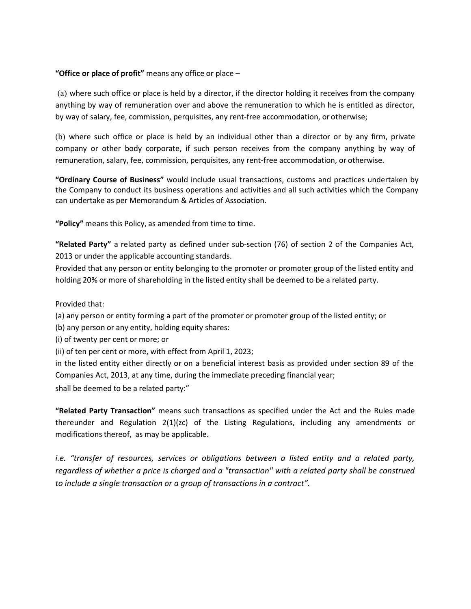#### "Office or place of profit" means any office or place  $-$

(a) where such office or place is held by a director, if the director holding it receives from the company anything by way of remuneration over and above the remuneration to which he is entitled as director, by way of salary, fee, commission, perquisites, any rent-free accommodation, or otherwise;

(b) where such office or place is held by an individual other than a director or by any firm, private company or other body corporate, if such person receives from the company anything by way of remuneration, salary, fee, commission, perquisites, any rent-free accommodation, or otherwise.

"Ordinary Course of Business" would include usual transactions, customs and practices undertaken by the Company to conduct its business operations and activities and all such activities which the Company can undertake as per Memorandum & Articles of Association.

"Policy" means this Policy, as amended from time to time.

"Related Party" a related party as defined under sub-section (76) of section 2 of the Companies Act, 2013 or under the applicable accounting standards.

Provided that any person or entity belonging to the promoter or promoter group of the listed entity and holding 20% or more of shareholding in the listed entity shall be deemed to be a related party.

Provided that:

(a) any person or entity forming a part of the promoter or promoter group of the listed entity; or

(b) any person or any entity, holding equity shares:

(i) of twenty per cent or more; or

(ii) of ten per cent or more, with effect from April 1, 2023;

in the listed entity either directly or on a beneficial interest basis as provided under section 89 of the Companies Act, 2013, at any time, during the immediate preceding financial year;

shall be deemed to be a related party:"

"Related Party Transaction" means such transactions as specified under the Act and the Rules made thereunder and Regulation 2(1)(zc) of the Listing Regulations, including any amendments or modifications thereof, as may be applicable.

i.e. "transfer of resources, services or obligations between a listed entity and a related party, regardless of whether a price is charged and a "transaction" with a related party shall be construed to include a single transaction or a group of transactions in a contract".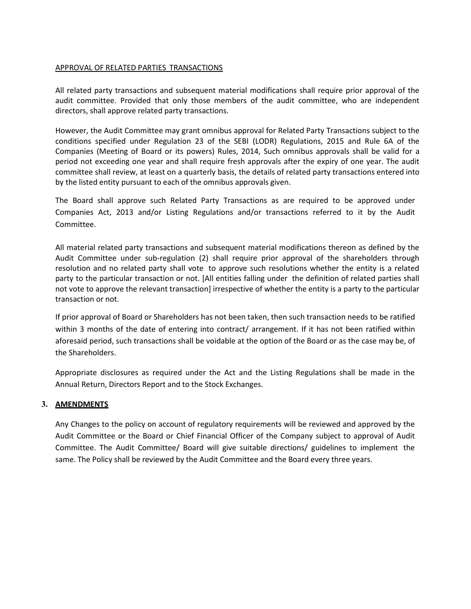#### APPROVAL OF RELATED PARTIES TRANSACTIONS

All related party transactions and subsequent material modifications shall require prior approval of the audit committee. Provided that only those members of the audit committee, who are independent directors, shall approve related party transactions.

However, the Audit Committee may grant omnibus approval for Related Party Transactions subject to the conditions specified under Regulation 23 of the SEBI (LODR) Regulations, 2015 and Rule 6A of the Companies (Meeting of Board or its powers) Rules, 2014, Such omnibus approvals shall be valid for a period not exceeding one year and shall require fresh approvals after the expiry of one year. The audit committee shall review, at least on a quarterly basis, the details of related party transactions entered into by the listed entity pursuant to each of the omnibus approvals given.

The Board shall approve such Related Party Transactions as are required to be approved under Companies Act, 2013 and/or Listing Regulations and/or transactions referred to it by the Audit Committee.

All material related party transactions and subsequent material modifications thereon as defined by the Audit Committee under sub-regulation (2) shall require prior approval of the shareholders through resolution and no related party shall vote to approve such resolutions whether the entity is a related party to the particular transaction or not. [All entities falling under the definition of related parties shall not vote to approve the relevant transaction] irrespective of whether the entity is a party to the particular transaction or not.

If prior approval of Board or Shareholders has not been taken, then such transaction needs to be ratified within 3 months of the date of entering into contract/ arrangement. If it has not been ratified within aforesaid period, such transactions shall be voidable at the option of the Board or as the case may be, of the Shareholders.

Appropriate disclosures as required under the Act and the Listing Regulations shall be made in the Annual Return, Directors Report and to the Stock Exchanges.

#### 3. AMENDMENTS

Any Changes to the policy on account of regulatory requirements will be reviewed and approved by the Audit Committee or the Board or Chief Financial Officer of the Company subject to approval of Audit Committee. The Audit Committee/ Board will give suitable directions/ guidelines to implement the same. The Policy shall be reviewed by the Audit Committee and the Board every three years.